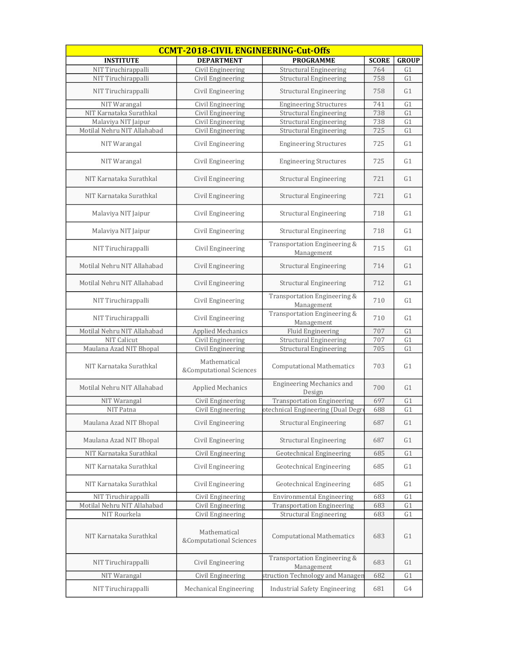| <b>CCMT-2018-CIVIL ENGINEERING-Cut-Offs</b> |                                         |                                            |              |                |
|---------------------------------------------|-----------------------------------------|--------------------------------------------|--------------|----------------|
| <b>INSTITUTE</b>                            | <b>DEPARTMENT</b>                       | <b>PROGRAMME</b>                           | <b>SCORE</b> | <b>GROUP</b>   |
| NIT Tiruchirappalli                         | Civil Engineering                       | <b>Structural Engineering</b>              | 764          | G1             |
| NIT Tiruchirappalli                         | Civil Engineering                       | <b>Structural Engineering</b>              | 758          | G1             |
| NIT Tiruchirappalli                         | Civil Engineering                       | <b>Structural Engineering</b>              | 758          | G1             |
| NIT Warangal                                | Civil Engineering                       | <b>Engineering Structures</b>              | 741          | G <sub>1</sub> |
| NIT Karnataka Surathkal                     | Civil Engineering                       | <b>Structural Engineering</b>              | 738          | G1             |
| Malaviya NIT Jaipur                         | Civil Engineering                       | <b>Structural Engineering</b>              | 738          | G1             |
| Motilal Nehru NIT Allahabad                 | Civil Engineering                       | <b>Structural Engineering</b>              | 725          | G1             |
| NIT Warangal                                | Civil Engineering                       | <b>Engineering Structures</b>              | 725          | G1             |
| NIT Warangal                                | Civil Engineering                       | <b>Engineering Structures</b>              | 725          | G1             |
| NIT Karnataka Surathkal                     | Civil Engineering                       | <b>Structural Engineering</b>              | 721          | G1             |
| NIT Karnataka Surathkal                     | Civil Engineering                       | <b>Structural Engineering</b>              | 721          | G1             |
| Malaviya NIT Jaipur                         | Civil Engineering                       | <b>Structural Engineering</b>              | 718          | G1             |
| Malaviya NIT Jaipur                         | Civil Engineering                       | <b>Structural Engineering</b>              | 718          | G1             |
| NIT Tiruchirappalli                         | Civil Engineering                       | Transportation Engineering &<br>Management | 715          | G1             |
| Motilal Nehru NIT Allahabad                 | Civil Engineering                       | <b>Structural Engineering</b>              | 714          | G1             |
| Motilal Nehru NIT Allahabad                 | Civil Engineering                       | <b>Structural Engineering</b>              | 712          | G1             |
| NIT Tiruchirappalli                         | Civil Engineering                       | Transportation Engineering &<br>Management | 710          | G1             |
| NIT Tiruchirappalli                         | Civil Engineering                       | Transportation Engineering &<br>Management | 710          | G1             |
| Motilal Nehru NIT Allahabad                 | <b>Applied Mechanics</b>                | <b>Fluid Engineering</b>                   | 707          | G1             |
| NIT Calicut                                 | Civil Engineering                       | <b>Structural Engineering</b>              | 707          | G1             |
| Maulana Azad NIT Bhopal                     | Civil Engineering                       | <b>Structural Engineering</b>              | 705          | G1             |
| NIT Karnataka Surathkal                     | Mathematical<br>&Computational Sciences | <b>Computational Mathematics</b>           | 703          | G1             |
| Motilal Nehru NIT Allahabad                 | <b>Applied Mechanics</b>                | <b>Engineering Mechanics and</b><br>Design | 700          | G1             |
| NIT Warangal                                | Civil Engineering                       | <b>Transportation Engineering</b>          | 697          | G1             |
| NIT Patna                                   | Civil Engineering                       | otechnical Engineering (Dual Degre         | 688          | G1             |
| Maulana Azad NIT Bhopal                     | Civil Engineering                       | <b>Structural Engineering</b>              | 687          | G1             |
| Maulana Azad NIT Bhopal                     | Civil Engineering                       | <b>Structural Engineering</b>              | 687          | G1             |
| NIT Karnataka Surathkal                     | Civil Engineering                       | <b>Geotechnical Engineering</b>            | 685          | G1             |
| NIT Karnataka Surathkal                     | Civil Engineering                       | <b>Geotechnical Engineering</b>            | 685          | G1             |
| NIT Karnataka Surathkal                     | Civil Engineering                       | <b>Geotechnical Engineering</b>            | 685          | G1             |
| NIT Tiruchirappalli                         | Civil Engineering                       | <b>Environmental Engineering</b>           | 683          | G1             |
| Motilal Nehru NIT Allahabad                 | Civil Engineering                       | <b>Transportation Engineering</b>          | 683          | G1             |
| NIT Rourkela                                | Civil Engineering                       | <b>Structural Engineering</b>              | 683          | G1             |
| NIT Karnataka Surathkal                     | Mathematical<br>&Computational Sciences | <b>Computational Mathematics</b>           | 683          | G1             |
| NIT Tiruchirappalli                         | Civil Engineering                       | Transportation Engineering &<br>Management | 683          | G <sub>1</sub> |
| NIT Warangal                                | Civil Engineering                       | struction Technology and Managen           | 682          | G1             |
| NIT Tiruchirappalli                         | Mechanical Engineering                  | <b>Industrial Safety Engineering</b>       | 681          | G4             |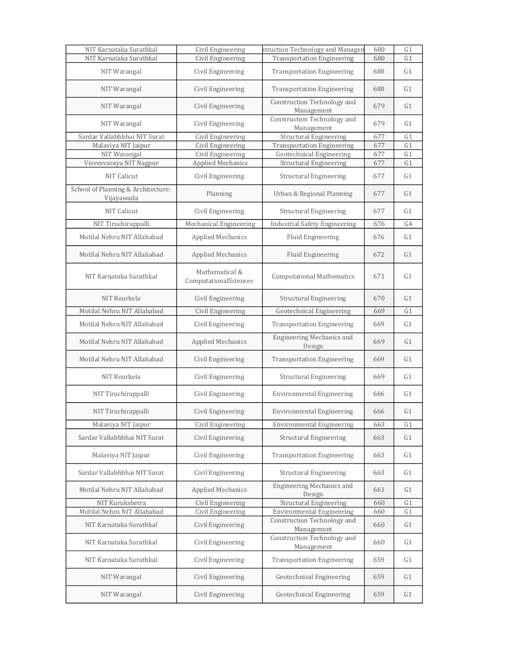| NIT Karnataka Surathkal                          | Civil Engineering                       | struction Technology and Managen           | 680 | G1 |
|--------------------------------------------------|-----------------------------------------|--------------------------------------------|-----|----|
| NIT Karnataka Surathkal                          | <b>Civil Engineering</b>                | <b>Transportation Engineering</b>          | 680 | G1 |
| NIT Warangal                                     | Civil Engineering                       | <b>Transportation Engineering</b>          | 680 | G1 |
| NIT Warangal                                     | Civil Engineering                       | <b>Transportation Engineering</b>          | 680 | G1 |
| NIT Warangal                                     | Civil Engineering                       | Construction Technology and<br>Management  | 679 | G1 |
| NIT Warangal                                     | Civil Engineering                       | Construction Technology and<br>Management  | 679 | G1 |
| Sardar Vallabhbhai NIT Surat                     | Civil Engineering                       | <b>Structural Engineering</b>              | 677 | G1 |
| Malaviya NIT Jaipur                              | Civil Engineering                       | <b>Transportation Engineering</b>          | 677 | G1 |
| NIT Warangal                                     | Civil Engineering                       | Geotechnical Engineering                   | 677 | G1 |
| Visvesvaraya NIT Nagpur                          | <b>Applied Mechanics</b>                | <b>Structural Engineering</b>              | 677 | G1 |
| <b>NIT Calicut</b>                               | Civil Engineering                       | <b>Structural Engineering</b>              | 677 | G1 |
| School of Planning & Architecture:<br>Vijayawada | Planning                                | Urban & Regional Planning                  | 677 | G1 |
| <b>NIT Calicut</b>                               | Civil Engineering                       | <b>Structural Engineering</b>              | 677 | G1 |
| NIT Tiruchirappalli                              | Mechanical Engineering                  | <b>Industrial Safety Engineering</b>       | 676 | G4 |
| Motilal Nehru NIT Allahabad                      | <b>Applied Mechanics</b>                | <b>Fluid Engineering</b>                   | 676 | G1 |
| Motilal Nehru NIT Allahabad                      | Applied Mechanics                       | <b>Fluid Engineering</b>                   | 672 | G1 |
| NIT Karnataka Surathkal                          | Mathematical &<br>ComputationalSciences | <b>Computational Mathematics</b>           | 671 | G1 |
| NIT Rourkela                                     | Civil Engineering                       | <b>Structural Engineering</b>              | 670 | G1 |
| Motilal Nehru NIT Allahabad                      | Civil Engineering                       | <b>Geotechnical Engineering</b>            | 669 | G1 |
| Motilal Nehru NIT Allahabad                      | Civil Engineering                       | <b>Transportation Engineering</b>          | 669 | G1 |
| Motilal Nehru NIT Allahabad                      | Applied Mechanics                       | <b>Engineering Mechanics and</b><br>Design | 669 | G1 |
| Motilal Nehru NIT Allahabad                      | Civil Engineering                       | <b>Transportation Engineering</b>          | 669 | G1 |
| NIT Rourkela                                     | Civil Engineering                       | <b>Structural Engineering</b>              | 669 | G1 |
| NIT Tiruchirappalli                              | Civil Engineering                       | <b>Environmental Engineering</b>           | 666 | G1 |
| NIT Tiruchirappalli                              | Civil Engineering                       | <b>Environmental Engineering</b>           | 666 | G1 |
| Malaviya NIT Jaipur                              | Civil Engineering                       | <b>Environmental Engineering</b>           | 663 | G1 |
| Sardar Vallabhbhai NIT Surat                     | Civil Engineering                       | <b>Structural Engineering</b>              | 663 | G1 |
| Malaviya NIT Jaipur                              | Civil Engineering                       | <b>Transportation Engineering</b>          | 663 | G1 |
| Sardar Vallabhbhai NIT Surat                     | Civil Engineering                       | <b>Structural Engineering</b>              | 663 | G1 |
| Motilal Nehru NIT Allahabad                      | Applied Mechanics                       | <b>Engineering Mechanics and</b><br>Design | 661 | G1 |
| NIT Kurukshetra                                  | Civil Engineering                       | <b>Structural Engineering</b>              | 660 | G1 |
| Motilal Nehru NIT Allahabad                      | <b>Civil Engineering</b>                | <b>Environmental Engineering</b>           | 660 | G1 |
| NIT Karnataka Surathkal                          | Civil Engineering                       | Construction Technology and<br>Management  | 660 | G1 |
| NIT Karnataka Surathkal                          | Civil Engineering                       | Construction Technology and<br>Management  | 660 | G1 |
| NIT Karnataka Surathkal                          | Civil Engineering                       | <b>Transportation Engineering</b>          | 659 | G1 |
| NIT Warangal                                     | Civil Engineering                       | Geotechnical Engineering                   | 659 | G1 |
| NIT Warangal                                     | Civil Engineering                       | Geotechnical Engineering                   | 659 | G1 |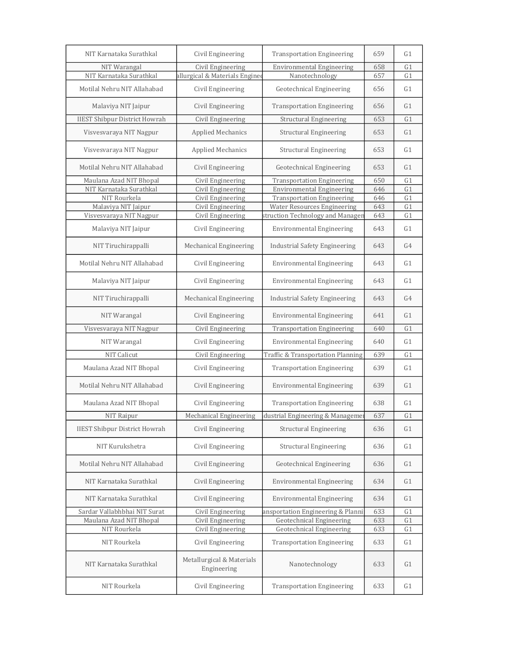| NIT Karnataka Surathkal              | Civil Engineering                        | <b>Transportation Engineering</b>            | 659 | G <sub>1</sub> |
|--------------------------------------|------------------------------------------|----------------------------------------------|-----|----------------|
| NIT Warangal                         | Civil Engineering                        | <b>Environmental Engineering</b>             | 658 | G <sub>1</sub> |
| NIT Karnataka Surathkal              | allurgical & Materials Enginee           | Nanotechnology                               | 657 | G <sub>1</sub> |
| Motilal Nehru NIT Allahabad          | Civil Engineering                        | Geotechnical Engineering                     | 656 | G1             |
| Malaviya NIT Jaipur                  | Civil Engineering                        | <b>Transportation Engineering</b>            | 656 | G1             |
| <b>IIEST Shibpur District Howrah</b> | Civil Engineering                        | <b>Structural Engineering</b>                | 653 | G1             |
| Visvesvaraya NIT Nagpur              | Applied Mechanics                        | <b>Structural Engineering</b>                | 653 | G1             |
| Visvesvaraya NIT Nagpur              | <b>Applied Mechanics</b>                 | <b>Structural Engineering</b>                | 653 | G1             |
| Motilal Nehru NIT Allahabad          | Civil Engineering                        | Geotechnical Engineering                     | 653 | G1             |
| Maulana Azad NIT Bhopal              | Civil Engineering                        | <b>Transportation Engineering</b>            | 650 | G <sub>1</sub> |
| NIT Karnataka Surathkal              | Civil Engineering                        | <b>Environmental Engineering</b>             | 646 | G1             |
| NIT Rourkela                         | Civil Engineering                        | <b>Transportation Engineering</b>            | 646 | G1             |
| Malaviya NIT Jaipur                  | Civil Engineering                        | <b>Water Resources Engineering</b>           | 643 | G1             |
| Visvesvaraya NIT Nagpur              | Civil Engineering                        | struction Technology and Manager             | 643 | G1             |
| Malaviya NIT Jaipur                  | Civil Engineering                        | <b>Environmental Engineering</b>             | 643 | G1             |
| NIT Tiruchirappalli                  | Mechanical Engineering                   | <b>Industrial Safety Engineering</b>         | 643 | G <sub>4</sub> |
| Motilal Nehru NIT Allahabad          | Civil Engineering                        | <b>Environmental Engineering</b>             | 643 | G1             |
| Malaviya NIT Jaipur                  | Civil Engineering                        | <b>Environmental Engineering</b>             | 643 | G1             |
| NIT Tiruchirappalli                  | <b>Mechanical Engineering</b>            | <b>Industrial Safety Engineering</b>         | 643 | G <sub>4</sub> |
| NIT Warangal                         | Civil Engineering                        | <b>Environmental Engineering</b>             | 641 | G1             |
| Visvesvaraya NIT Nagpur              | Civil Engineering                        | <b>Transportation Engineering</b>            | 640 | G1             |
| NIT Warangal                         | Civil Engineering                        | <b>Environmental Engineering</b>             | 640 | G1             |
| NIT Calicut                          | Civil Engineering                        | <b>Traffic &amp; Transportation Planning</b> | 639 | G1             |
| Maulana Azad NIT Bhopal              | Civil Engineering                        | <b>Transportation Engineering</b>            | 639 | G <sub>1</sub> |
| Motilal Nehru NIT Allahabad          | Civil Engineering                        | <b>Environmental Engineering</b>             | 639 | G1             |
| Maulana Azad NIT Bhopal              | Civil Engineering                        | <b>Transportation Engineering</b>            | 638 | G <sub>1</sub> |
| NIT Raipur                           | Mechanical Engineering                   | dustrial Engineering & Managemer             | 637 | G1             |
| <b>IIEST Shibpur District Howrah</b> | Civil Engineering                        | <b>Structural Engineering</b>                | 636 | G1             |
| NIT Kurukshetra                      | Civil Engineering                        | <b>Structural Engineering</b>                | 636 | G1             |
| Motilal Nehru NIT Allahabad          | Civil Engineering                        | Geotechnical Engineering                     | 636 | G1             |
| NIT Karnataka Surathkal              | Civil Engineering                        | <b>Environmental Engineering</b>             | 634 | G1             |
| NIT Karnataka Surathkal              | Civil Engineering                        | <b>Environmental Engineering</b>             | 634 | G1             |
| Sardar Vallabhbhai NIT Surat         | Civil Engineering                        | ansportation Engineering & Planni            | 633 | G <sub>1</sub> |
| Maulana Azad NIT Bhopal              | Civil Engineering                        | <b>Geotechnical Engineering</b>              | 633 | G1             |
| NIT Rourkela                         | Civil Engineering                        | <b>Geotechnical Engineering</b>              | 633 | G1             |
| NIT Rourkela                         | Civil Engineering                        | <b>Transportation Engineering</b>            | 633 | G1             |
| NIT Karnataka Surathkal              | Metallurgical & Materials<br>Engineering | Nanotechnology                               | 633 | G1             |
| NIT Rourkela                         | Civil Engineering                        | <b>Transportation Engineering</b>            | 633 | G1             |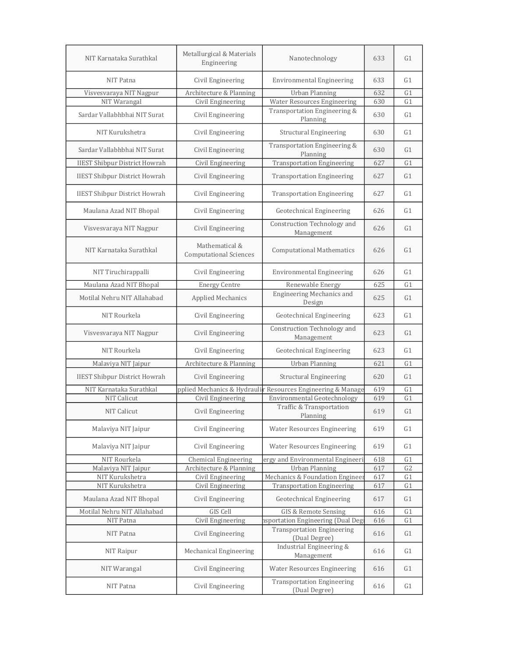| NIT Karnataka Surathkal                  | Metallurgical & Materials<br>Engineering        | Nanotechnology                                                      | 633        | G1             |
|------------------------------------------|-------------------------------------------------|---------------------------------------------------------------------|------------|----------------|
| NIT Patna                                | Civil Engineering                               | <b>Environmental Engineering</b>                                    | 633        | G1             |
| Visvesvaraya NIT Nagpur                  | Architecture & Planning                         | <b>Urban Planning</b>                                               | 632        | G1             |
| NIT Warangal                             | Civil Engineering                               | <b>Water Resources Engineering</b>                                  | 630        | G1             |
| Sardar Vallabhbhai NIT Surat             | Civil Engineering                               | Transportation Engineering &<br>Planning                            | 630        | G1             |
| NIT Kurukshetra                          | Civil Engineering                               | <b>Structural Engineering</b>                                       | 630        | G1             |
| Sardar Vallabhbhai NIT Surat             | Civil Engineering                               | Transportation Engineering &<br>Planning                            | 630        | G1             |
| <b>IIEST Shibpur District Howrah</b>     | Civil Engineering                               | <b>Transportation Engineering</b>                                   | 627        | G <sub>1</sub> |
| <b>IIEST Shibpur District Howrah</b>     | Civil Engineering                               | <b>Transportation Engineering</b>                                   | 627        | G1             |
| <b>IIEST Shibpur District Howrah</b>     | Civil Engineering                               | <b>Transportation Engineering</b>                                   | 627        | G1             |
| Maulana Azad NIT Bhopal                  | Civil Engineering                               | Geotechnical Engineering                                            | 626        | G1             |
| Visvesvaraya NIT Nagpur                  | Civil Engineering                               | Construction Technology and<br>Management                           | 626        | G1             |
| NIT Karnataka Surathkal                  | Mathematical &<br><b>Computational Sciences</b> | <b>Computational Mathematics</b>                                    | 626        | G1             |
| NIT Tiruchirappalli                      | Civil Engineering                               | <b>Environmental Engineering</b>                                    | 626        | G1             |
| Maulana Azad NIT Bhopal                  | <b>Energy Centre</b>                            | Renewable Energy                                                    | 625        | G <sub>1</sub> |
| Motilal Nehru NIT Allahabad              | Applied Mechanics                               | <b>Engineering Mechanics and</b><br>Design                          | 625        | G <sub>1</sub> |
| NIT Rourkela                             | Civil Engineering                               | Geotechnical Engineering                                            | 623        | G1             |
| Visvesvaraya NIT Nagpur                  | Civil Engineering                               | Construction Technology and<br>Management                           | 623        | G1             |
| NIT Rourkela                             | Civil Engineering                               | Geotechnical Engineering                                            | 623        | G1             |
| Malaviya NIT Jaipur                      | Architecture & Planning                         | <b>Urban Planning</b>                                               | 621        | G1             |
| <b>IIEST Shibpur District Howrah</b>     | Civil Engineering                               | Structural Engineering                                              | 620        | G1             |
| NIT Karnataka Surathkal                  |                                                 | pplied Mechanics & Hydraulir Resources Engineering & Manage         | 619        | G <sub>1</sub> |
| <b>NIT Calicut</b><br><b>NIT Calicut</b> | Civil Engineering<br>Civil Engineering          | Environmental Geotechnology<br>Traffic & Transportation<br>Planning | 619<br>619 | G1<br>G1       |
| Malaviya NIT Jaipur                      | Civil Engineering                               | <b>Water Resources Engineering</b>                                  | 619        | G1             |
| Malaviya NIT Jaipur                      | Civil Engineering                               | <b>Water Resources Engineering</b>                                  | 619        | G1             |
| NIT Rourkela                             | <b>Chemical Engineering</b>                     | ergy and Environmental Engineeri                                    | 618        | G1             |
| Malaviya NIT Jaipur                      | Architecture & Planning                         | <b>Urban Planning</b>                                               | 617        | G2             |
| NIT Kurukshetra                          | Civil Engineering                               | Mechanics & Foundation Engineer                                     | 617        | G1             |
| NIT Kurukshetra                          | Civil Engineering                               | <b>Transportation Engineering</b>                                   | 617        | G1             |
| Maulana Azad NIT Bhopal                  | Civil Engineering                               | <b>Geotechnical Engineering</b>                                     | 617        | G1             |
| Motilal Nehru NIT Allahabad              | GIS Cell                                        | <b>GIS &amp; Remote Sensing</b>                                     | 616        | G1             |
| NIT Patna                                | Civil Engineering                               | isportation Engineering (Dual Deg                                   | 616        | G1             |
| NIT Patna                                | Civil Engineering                               | <b>Transportation Engineering</b><br>(Dual Degree)                  | 616        | G1             |
| NIT Raipur                               | <b>Mechanical Engineering</b>                   | Industrial Engineering &<br>Management                              | 616        | G1             |
| NIT Warangal                             | Civil Engineering                               | <b>Water Resources Engineering</b>                                  | 616        | G1             |
| NIT Patna                                | Civil Engineering                               | <b>Transportation Engineering</b><br>(Dual Degree)                  | 616        | G1             |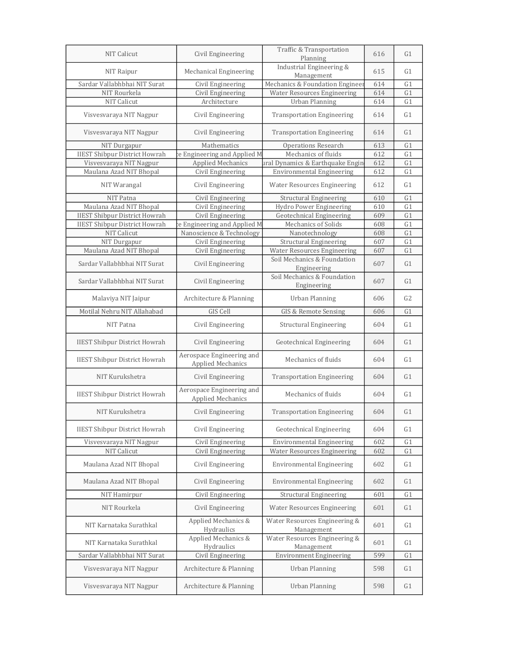| NIT Calicut                          | Civil Engineering                                     | Traffic & Transportation<br>Planning        | 616 | G1             |
|--------------------------------------|-------------------------------------------------------|---------------------------------------------|-----|----------------|
| NIT Raipur                           | Mechanical Engineering                                | Industrial Engineering &<br>Management      | 615 | G1             |
| Sardar Vallabhbhai NIT Surat         | Civil Engineering                                     | Mechanics & Foundation Engineer             | 614 | G <sub>1</sub> |
| NIT Rourkela                         | Civil Engineering                                     | <b>Water Resources Engineering</b>          | 614 | G1             |
| <b>NIT Calicut</b>                   | Architecture                                          | <b>Urban Planning</b>                       | 614 | G1             |
|                                      |                                                       |                                             |     |                |
| Visvesvaraya NIT Nagpur              | Civil Engineering                                     | <b>Transportation Engineering</b>           | 614 | G1             |
| Visvesvaraya NIT Nagpur              | Civil Engineering                                     | <b>Transportation Engineering</b>           | 614 | G1             |
| NIT Durgapur                         | Mathematics                                           | <b>Operations Research</b>                  | 613 | G <sub>1</sub> |
| <b>IIEST Shibpur District Howrah</b> | e Engineering and Applied M                           | Mechanics of fluids                         | 612 | G1             |
| Visvesvaraya NIT Nagpur              | <b>Applied Mechanics</b>                              | ural Dynamics & Earthquake Engin            | 612 | G1             |
| Maulana Azad NIT Bhopal              | Civil Engineering                                     | <b>Environmental Engineering</b>            | 612 | G1             |
| NIT Warangal                         | Civil Engineering                                     | <b>Water Resources Engineering</b>          | 612 | G <sub>1</sub> |
| NIT Patna                            | Civil Engineering                                     | <b>Structural Engineering</b>               | 610 | G1             |
| Maulana Azad NIT Bhopal              | Civil Engineering                                     | Hydro Power Engineering                     | 610 | G1             |
| <b>IIEST Shibpur District Howrah</b> | Civil Engineering                                     | Geotechnical Engineering                    | 609 | G1             |
| <b>IIEST Shibpur District Howrah</b> | e Engineering and Applied M:                          | Mechanics of Solids                         | 608 | G1             |
| NIT Calicut                          |                                                       |                                             |     | G1             |
|                                      | Nanoscience & Technology                              | Nanotechnology                              | 608 |                |
| NIT Durgapur                         | Civil Engineering                                     | Structural Engineering                      | 607 | G1             |
| Maulana Azad NIT Bhopal              | Civil Engineering                                     | <b>Water Resources Engineering</b>          | 607 | G1             |
| Sardar Vallabhbhai NIT Surat         | Civil Engineering                                     | Soil Mechanics & Foundation<br>Engineering  | 607 | G1             |
| Sardar Vallabhbhai NIT Surat         | Civil Engineering                                     | Soil Mechanics & Foundation<br>Engineering  | 607 | G1             |
| Malaviya NIT Jaipur                  | Architecture & Planning                               | <b>Urban Planning</b>                       | 606 | G <sub>2</sub> |
| Motilal Nehru NIT Allahabad          | GIS Cell                                              | GIS & Remote Sensing                        | 606 | G1             |
| NIT Patna                            | Civil Engineering                                     | <b>Structural Engineering</b>               | 604 | G1             |
| <b>IIEST Shibpur District Howrah</b> | Civil Engineering                                     | Geotechnical Engineering                    | 604 | G1             |
| <b>IIEST Shibpur District Howrah</b> | Aerospace Engineering and<br><b>Applied Mechanics</b> | Mechanics of fluids                         | 604 | G1             |
| NIT Kurukshetra                      | Civil Engineering                                     | <b>Transportation Engineering</b>           | 604 | G1             |
| <b>IIEST Shibpur District Howrah</b> | Aerospace Engineering and<br><b>Applied Mechanics</b> | Mechanics of fluids                         | 604 | G <sub>1</sub> |
| NIT Kurukshetra                      | Civil Engineering                                     | <b>Transportation Engineering</b>           | 604 | G1             |
| <b>IIEST Shibpur District Howrah</b> | Civil Engineering                                     | Geotechnical Engineering                    | 604 | G1             |
| Visvesvaraya NIT Nagpur              | Civil Engineering                                     | <b>Environmental Engineering</b>            | 602 | G1             |
| NIT Calicut                          | Civil Engineering                                     | <b>Water Resources Engineering</b>          | 602 | G1             |
| Maulana Azad NIT Bhopal              | Civil Engineering                                     | <b>Environmental Engineering</b>            | 602 | G1             |
| Maulana Azad NIT Bhopal              | Civil Engineering                                     | <b>Environmental Engineering</b>            | 602 | G1             |
| NIT Hamirpur                         | Civil Engineering                                     | <b>Structural Engineering</b>               | 601 | G1             |
|                                      |                                                       |                                             |     |                |
| NIT Rourkela                         | Civil Engineering                                     | <b>Water Resources Engineering</b>          | 601 | G1             |
| NIT Karnataka Surathkal              | Applied Mechanics &<br>Hydraulics                     | Water Resources Engineering &<br>Management | 601 | G1             |
| NIT Karnataka Surathkal              | Applied Mechanics &<br>Hydraulics                     | Water Resources Engineering &<br>Management | 601 | G1             |
| Sardar Vallabhbhai NIT Surat         | Civil Engineering                                     | <b>Environment Engineering</b>              | 599 | G1             |
| Visvesvaraya NIT Nagpur              | Architecture & Planning                               | <b>Urban Planning</b>                       | 598 | G1             |
| Visvesvaraya NIT Nagpur              | Architecture & Planning                               | <b>Urban Planning</b>                       | 598 | G1             |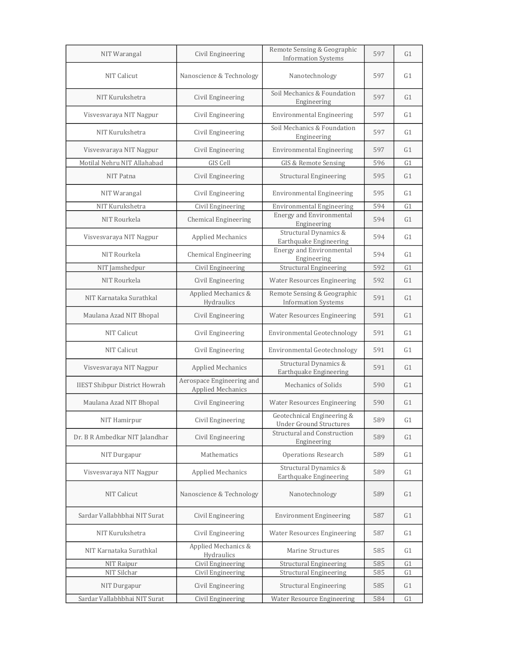| NIT Warangal                         | Civil Engineering                                     | Remote Sensing & Geographic<br><b>Information Systems</b>    | 597 | G1             |
|--------------------------------------|-------------------------------------------------------|--------------------------------------------------------------|-----|----------------|
| <b>NIT Calicut</b>                   | Nanoscience & Technology                              | Nanotechnology                                               | 597 | G1             |
| NIT Kurukshetra                      | Civil Engineering                                     | Soil Mechanics & Foundation<br>Engineering                   | 597 | G1             |
| Visvesvaraya NIT Nagpur              | Civil Engineering                                     | <b>Environmental Engineering</b>                             | 597 | G1             |
| NIT Kurukshetra                      | Civil Engineering                                     | Soil Mechanics & Foundation<br>Engineering                   | 597 | G1             |
| Visvesvaraya NIT Nagpur              | Civil Engineering                                     | <b>Environmental Engineering</b>                             | 597 | G1             |
| Motilal Nehru NIT Allahabad          | GIS Cell                                              | GIS & Remote Sensing                                         | 596 | G <sub>1</sub> |
| NIT Patna                            | Civil Engineering                                     | <b>Structural Engineering</b>                                | 595 | G1             |
| NIT Warangal                         | Civil Engineering                                     | <b>Environmental Engineering</b>                             | 595 | G1             |
| NIT Kurukshetra                      | Civil Engineering                                     | <b>Environmental Engineering</b>                             | 594 | G1             |
| NIT Rourkela                         | <b>Chemical Engineering</b>                           | <b>Energy and Environmental</b><br>Engineering               | 594 | G1             |
| Visvesvaraya NIT Nagpur              | Applied Mechanics                                     | Structural Dynamics &<br>Earthquake Engineering              | 594 | G1             |
| NIT Rourkela                         | <b>Chemical Engineering</b>                           | <b>Energy and Environmental</b><br>Engineering               | 594 | G1             |
| NIT Jamshedpur                       | Civil Engineering                                     | <b>Structural Engineering</b>                                | 592 | G1             |
| NIT Rourkela                         | Civil Engineering                                     | <b>Water Resources Engineering</b>                           | 592 | G1             |
| NIT Karnataka Surathkal              | Applied Mechanics &<br>Hydraulics                     | Remote Sensing & Geographic<br><b>Information Systems</b>    | 591 | G1             |
| Maulana Azad NIT Bhopal              | Civil Engineering                                     | <b>Water Resources Engineering</b>                           | 591 | G1             |
| NIT Calicut                          | Civil Engineering                                     | Environmental Geotechnology                                  | 591 | G1             |
| <b>NIT Calicut</b>                   | Civil Engineering                                     | Environmental Geotechnology                                  | 591 | G1             |
| Visvesvaraya NIT Nagpur              | <b>Applied Mechanics</b>                              | Structural Dynamics &<br>Earthquake Engineering              | 591 | G1             |
| <b>IIEST Shibpur District Howrah</b> | Aerospace Engineering and<br><b>Applied Mechanics</b> | Mechanics of Solids                                          | 590 | G1             |
| Maulana Azad NIT Bhopal              | Civil Engineering                                     | <b>Water Resources Engineering</b>                           | 590 | G1             |
| NIT Hamirpur                         | Civil Engineering                                     | Geotechnical Engineering &<br><b>Under Ground Structures</b> | 589 | G1             |
| Dr. B R Ambedkar NIT Jalandhar       | Civil Engineering                                     | Structural and Construction<br>Engineering                   | 589 | G1             |
| NIT Durgapur                         | Mathematics                                           | <b>Operations Research</b>                                   | 589 | G1             |
| Visvesvaraya NIT Nagpur              | <b>Applied Mechanics</b>                              | Structural Dynamics &<br>Earthquake Engineering              | 589 | G1             |
| <b>NIT Calicut</b>                   | Nanoscience & Technology                              | Nanotechnology                                               | 589 | G1             |
| Sardar Vallabhbhai NIT Surat         | Civil Engineering                                     | <b>Environment Engineering</b>                               | 587 | G <sub>1</sub> |
| NIT Kurukshetra                      | Civil Engineering                                     | <b>Water Resources Engineering</b>                           | 587 | G <sub>1</sub> |
| NIT Karnataka Surathkal              | Applied Mechanics &<br>Hydraulics                     | Marine Structures                                            | 585 | G1             |
| NIT Raipur                           | Civil Engineering                                     | Structural Engineering                                       | 585 | G1             |
| NIT Silchar                          | Civil Engineering                                     | <b>Structural Engineering</b>                                | 585 | G1             |
| NIT Durgapur                         | Civil Engineering                                     | <b>Structural Engineering</b>                                | 585 | G <sub>1</sub> |
| Sardar Vallabhbhai NIT Surat         | Civil Engineering                                     | Water Resource Engineering                                   | 584 | G1             |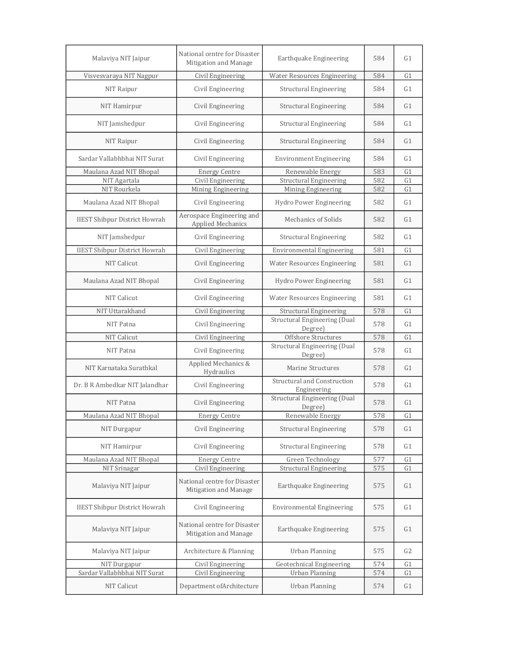| Malaviya NIT Jaipur                  | National centre for Disaster<br>Mitigation and Manage | Earthquake Engineering                         | 584 | G1             |
|--------------------------------------|-------------------------------------------------------|------------------------------------------------|-----|----------------|
| Visyesyaraya NIT Nagpur              | Civil Engineering                                     | <b>Water Resources Engineering</b>             | 584 | G1             |
| NIT Raipur                           | Civil Engineering                                     | <b>Structural Engineering</b>                  | 584 | G1             |
| NIT Hamirpur                         | Civil Engineering                                     | <b>Structural Engineering</b>                  | 584 | G1             |
| NIT Jamshedpur                       | Civil Engineering                                     | <b>Structural Engineering</b>                  | 584 | G1             |
| NIT Raipur                           | Civil Engineering                                     | <b>Structural Engineering</b>                  | 584 | G <sub>1</sub> |
| Sardar Vallabhbhai NIT Surat         | Civil Engineering                                     | <b>Environment Engineering</b>                 | 584 | G1             |
| Maulana Azad NIT Bhopal              | <b>Energy Centre</b>                                  | Renewable Energy                               | 583 | G1             |
| NIT Agartala<br>NIT Rourkela         | Civil Engineering                                     | <b>Structural Engineering</b>                  | 582 | G <sub>1</sub> |
|                                      | Mining Engineering                                    | Mining Engineering                             | 582 | G1             |
| Maulana Azad NIT Bhopal              | Civil Engineering                                     | Hydro Power Engineering                        | 582 | G1             |
| <b>IIEST Shibpur District Howrah</b> | Aerospace Engineering and<br><b>Applied Mechanics</b> | Mechanics of Solids                            | 582 | G <sub>1</sub> |
| NIT Jamshedpur                       | Civil Engineering                                     | <b>Structural Engineering</b>                  | 582 | G1             |
| <b>IIEST Shibpur District Howrah</b> | Civil Engineering                                     | <b>Environmental Engineering</b>               | 581 | G <sub>1</sub> |
| <b>NIT Calicut</b>                   | Civil Engineering                                     | <b>Water Resources Engineering</b>             | 581 | G1             |
| Maulana Azad NIT Bhopal              | Civil Engineering                                     | Hydro Power Engineering                        | 581 | G1             |
| <b>NIT Calicut</b>                   | Civil Engineering                                     | <b>Water Resources Engineering</b>             | 581 | G1             |
| NIT Uttarakhand                      | Civil Engineering                                     | Structural Engineering                         | 578 | G1             |
| NIT Patna                            | Civil Engineering                                     | <b>Structural Engineering (Dual</b><br>Degree) | 578 | G1             |
| <b>NIT Calicut</b>                   | Civil Engineering                                     | Offshore Structures                            | 578 | G1             |
| NIT Patna                            | Civil Engineering                                     | <b>Structural Engineering (Dual</b><br>Degree) | 578 | G1             |
| NIT Karnataka Surathkal              | Applied Mechanics &<br>Hydraulics                     | Marine Structures                              | 578 | G1             |
| Dr. B R Ambedkar NIT Jalandhar       | Civil Engineering                                     | Structural and Construction<br>Engineering     | 578 | G1             |
| NIT Patna                            | Civil Engineering                                     | Structural Engineering (Dual<br>Degree)        | 578 | G1             |
| Maulana Azad NIT Bhopal              | Energy Centre                                         | Renewable Energy                               | 578 | G <sub>1</sub> |
| NIT Durgapur                         | Civil Engineering                                     | <b>Structural Engineering</b>                  | 578 | G1             |
| NIT Hamirpur                         | Civil Engineering                                     | <b>Structural Engineering</b>                  | 578 | G1             |
| Maulana Azad NIT Bhopal              | <b>Energy Centre</b>                                  | Green Technology                               | 577 | G1             |
| NIT Srinagar                         | <b>Civil Engineering</b>                              | <b>Structural Engineering</b>                  | 575 | G1             |
| Malaviya NIT Jaipur                  | National centre for Disaster<br>Mitigation and Manage | Earthquake Engineering                         | 575 | G1             |
| <b>IIEST Shibpur District Howrah</b> | Civil Engineering                                     | <b>Environmental Engineering</b>               | 575 | G1             |
| Malaviya NIT Jaipur                  | National centre for Disaster<br>Mitigation and Manage | Earthquake Engineering                         | 575 | G1             |
| Malaviya NIT Jaipur                  | Architecture & Planning                               | <b>Urban Planning</b>                          | 575 | G <sub>2</sub> |
| NIT Durgapur                         | Civil Engineering                                     | Geotechnical Engineering                       | 574 | G1             |
| Sardar Vallabhbhai NIT Surat         | Civil Engineering                                     | <b>Urban Planning</b>                          | 574 | G1             |
| NIT Calicut                          | Department of Architecture                            | <b>Urban Planning</b>                          | 574 | G1             |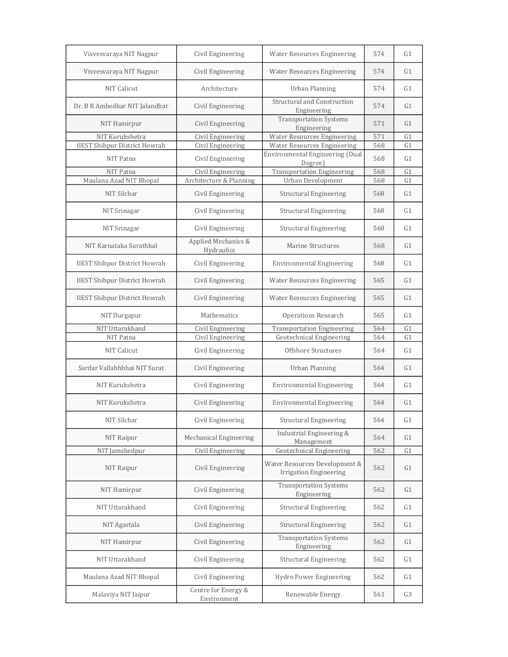| Visvesvaraya NIT Nagpur              | Civil Engineering                 | <b>Water Resources Engineering</b>                             | 574 | G1             |
|--------------------------------------|-----------------------------------|----------------------------------------------------------------|-----|----------------|
| Visvesvaraya NIT Nagpur              | Civil Engineering                 | <b>Water Resources Engineering</b>                             | 574 | G <sub>1</sub> |
| NIT Calicut                          | Architecture                      | <b>Urban Planning</b>                                          | 574 | G1             |
| Dr. B R Ambedkar NIT Jalandhar       | Civil Engineering                 | Structural and Construction<br>Engineering                     | 574 | G1             |
| NIT Hamirpur                         | Civil Engineering                 | <b>Transportation Systems</b><br>Engineering                   | 571 | G1             |
| NIT Kurukshetra                      | Civil Engineering                 | <b>Water Resources Engineering</b>                             | 571 | G1             |
| <b>IIEST Shibpur District Howrah</b> | Civil Engineering                 | <b>Water Resources Engineering</b>                             | 568 | G <sub>1</sub> |
| NIT Patna                            | Civil Engineering                 | Environmental Engineering (Dual<br>Degree)                     | 568 | G1             |
| NIT Patna                            | Civil Engineering                 | <b>Transportation Engineering</b>                              | 568 | G <sub>1</sub> |
| Maulana Azad NIT Bhopal              | Architecture & Planning           | Urban Development                                              | 568 | G1             |
| NIT Silchar                          | Civil Engineering                 | <b>Structural Engineering</b>                                  | 568 | G1             |
| NIT Srinagar                         | Civil Engineering                 | Structural Engineering                                         | 568 | G1             |
| NIT Srinagar                         | Civil Engineering                 | <b>Structural Engineering</b>                                  | 568 | G1             |
| NIT Karnataka Surathkal              | Applied Mechanics &<br>Hydraulics | <b>Marine Structures</b>                                       | 568 | G1             |
| <b>IIEST Shibpur District Howrah</b> | Civil Engineering                 | <b>Environmental Engineering</b>                               | 568 | G1             |
| <b>IIEST Shibpur District Howrah</b> | Civil Engineering                 | <b>Water Resources Engineering</b>                             | 565 | G1             |
| <b>IIEST Shibpur District Howrah</b> | Civil Engineering                 | <b>Water Resources Engineering</b>                             | 565 | G <sub>1</sub> |
| NIT Durgapur                         | Mathematics                       | <b>Operations Research</b>                                     | 565 | G1             |
| NIT Uttarakhand                      | Civil Engineering                 | <b>Transportation Engineering</b>                              | 564 | G1             |
| NIT Patna                            | Civil Engineering                 | <b>Geotechnical Engineering</b>                                | 564 | G1             |
| NIT Calicut                          | Civil Engineering                 | Offshore Structures                                            | 564 | G1             |
| Sardar Vallabhbhai NIT Surat         | Civil Engineering                 | Urban Planning                                                 | 564 | G <sub>1</sub> |
| NIT Kurukshetra                      | Civil Engineering                 | Environmental Engineering                                      | 564 | G1             |
| NIT Kurukshetra                      | Civil Engineering                 | Environmental Engineering                                      | 564 | G1             |
| NIT Silchar                          | Civil Engineering                 | <b>Structural Engineering</b>                                  | 564 | G1             |
| NIT Raipur                           | Mechanical Engineering            | Industrial Engineering &<br>Management                         | 564 | G1             |
| NIT Jamshedpur                       | Civil Engineering                 | Geotechnical Engineering                                       | 562 | G1             |
| NIT Raipur                           | Civil Engineering                 | Water Resources Development &<br><b>Irrigation Engineering</b> | 562 | G1             |
| NIT Hamirpur                         | Civil Engineering                 | <b>Transportation Systems</b><br>Engineering                   | 562 | G1             |
| NIT Uttarakhand                      | Civil Engineering                 | <b>Structural Engineering</b>                                  | 562 | G1             |
| NIT Agartala                         | Civil Engineering                 | <b>Structural Engineering</b>                                  | 562 | G1             |
| NIT Hamirpur                         | Civil Engineering                 | <b>Transportation Systems</b><br>Engineering                   | 562 | G1             |
| NIT Uttarakhand                      | Civil Engineering                 | <b>Structural Engineering</b>                                  | 562 | G1             |
| Maulana Azad NIT Bhopal              | Civil Engineering                 | Hydro Power Engineering                                        | 562 | G1             |
|                                      | Centre for Energy &               |                                                                |     |                |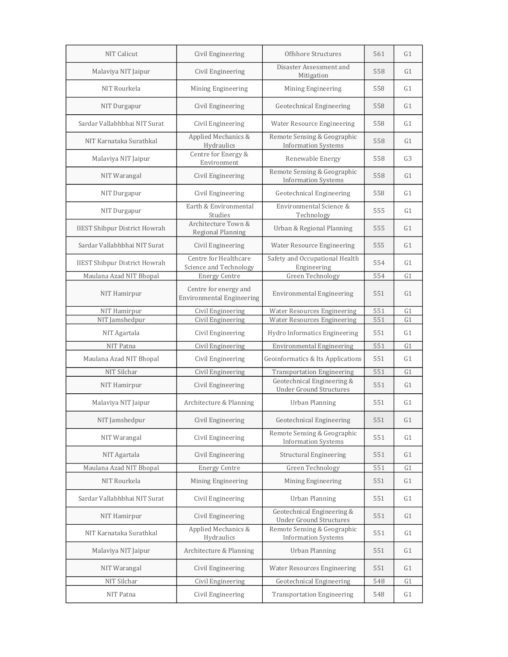| NIT Calicut                          | Civil Engineering                                         | Offshore Structures                                          | 561 | G1             |
|--------------------------------------|-----------------------------------------------------------|--------------------------------------------------------------|-----|----------------|
| Malaviya NIT Jaipur                  | Civil Engineering                                         | Disaster Assessment and<br>Mitigation                        | 558 | G1             |
| NIT Rourkela                         | Mining Engineering                                        | Mining Engineering                                           | 558 | G1             |
| NIT Durgapur                         | Civil Engineering                                         | <b>Geotechnical Engineering</b>                              | 558 | G1             |
| Sardar Vallabhbhai NIT Surat         | Civil Engineering                                         | Water Resource Engineering                                   | 558 | G1             |
| NIT Karnataka Surathkal              | Applied Mechanics &<br>Hydraulics                         | Remote Sensing & Geographic<br><b>Information Systems</b>    | 558 | G1             |
| Malaviya NIT Jaipur                  | Centre for Energy &<br>Environment                        | Renewable Energy                                             | 558 | G <sub>3</sub> |
| NIT Warangal                         | Civil Engineering                                         | Remote Sensing & Geographic<br><b>Information Systems</b>    | 558 | G1             |
| NIT Durgapur                         | Civil Engineering                                         | Geotechnical Engineering                                     | 558 | G1             |
| NIT Durgapur                         | Earth & Environmental<br>Studies                          | Environmental Science &<br>Technology                        | 555 | G1             |
| <b>IIEST Shibpur District Howrah</b> | Architecture Town &<br>Regional Planning                  | Urban & Regional Planning                                    | 555 | G1             |
| Sardar Vallabhbhai NIT Surat         | Civil Engineering                                         | Water Resource Engineering                                   | 555 | G1             |
| <b>IIEST Shibpur District Howrah</b> | Centre for Healthcare<br>Science and Technology           | Safety and Occupational Health<br>Engineering                | 554 | G1             |
| Maulana Azad NIT Bhopal              | <b>Energy Centre</b>                                      | Green Technology                                             | 554 | G1             |
| NIT Hamirpur                         | Centre for energy and<br><b>Environmental Engineering</b> | <b>Environmental Engineering</b>                             | 551 | G1             |
| NIT Hamirpur                         | Civil Engineering                                         | <b>Water Resources Engineering</b>                           | 551 | G1             |
| NIT Jamshedpur                       | Civil Engineering                                         | <b>Water Resources Engineering</b>                           | 551 | G1             |
| NIT Agartala                         | Civil Engineering                                         | Hydro Informatics Engineering                                | 551 | G1             |
| NIT Patna                            | Civil Engineering                                         | <b>Environmental Engineering</b>                             | 551 | G1             |
| Maulana Azad NIT Bhopal              | Civil Engineering                                         | Geoinformatics & Its Applications                            | 551 | G1             |
| NIT Silchar                          | Civil Engineering                                         | <b>Transportation Engineering</b>                            | 551 | G1             |
| NIT Hamirpur                         | Civil Engineering                                         | Geotechnical Engineering &<br><b>Under Ground Structures</b> | 551 | G1             |
| Malaviya NIT Jaipur                  | Architecture & Planning                                   | <b>Urban Planning</b>                                        | 551 | G1             |
| NIT Jamshedpur                       | Civil Engineering                                         | <b>Geotechnical Engineering</b>                              | 551 | G <sub>1</sub> |
| NIT Warangal                         | Civil Engineering                                         | Remote Sensing & Geographic<br><b>Information Systems</b>    | 551 | G1             |
| NIT Agartala                         | Civil Engineering                                         | <b>Structural Engineering</b>                                | 551 | G1             |
| Maulana Azad NIT Bhopal              | <b>Energy Centre</b>                                      | Green Technology                                             | 551 | G1             |
| NIT Rourkela                         | Mining Engineering                                        | Mining Engineering                                           | 551 | G1             |
| Sardar Vallabhbhai NIT Surat         | Civil Engineering                                         | <b>Urban Planning</b>                                        | 551 | G1             |
| NIT Hamirpur                         | Civil Engineering                                         | Geotechnical Engineering &<br><b>Under Ground Structures</b> | 551 | G <sub>1</sub> |
| NIT Karnataka Surathkal              | Applied Mechanics &<br>Hydraulics                         | Remote Sensing & Geographic<br><b>Information Systems</b>    | 551 | G1             |
| Malaviya NIT Jaipur                  | Architecture & Planning                                   | <b>Urban Planning</b>                                        | 551 | G1             |
| NIT Warangal                         | Civil Engineering                                         | <b>Water Resources Engineering</b>                           | 551 | G <sub>1</sub> |
| NIT Silchar                          | Civil Engineering                                         | Geotechnical Engineering                                     | 548 | G1             |
| NIT Patna                            | Civil Engineering                                         | <b>Transportation Engineering</b>                            | 548 | G1             |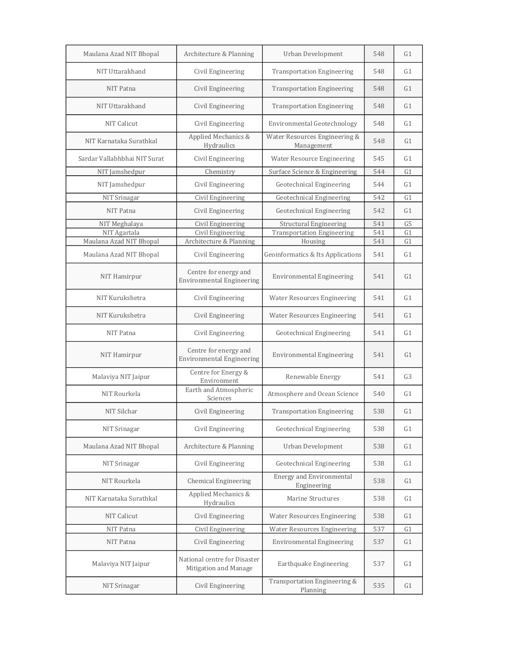| Maulana Azad NIT Bhopal      | Architecture & Planning                                   | Urban Development                              | 548 | G <sub>1</sub> |
|------------------------------|-----------------------------------------------------------|------------------------------------------------|-----|----------------|
| NIT Uttarakhand              | Civil Engineering                                         | <b>Transportation Engineering</b>              | 548 | G1             |
| NIT Patna                    | Civil Engineering                                         | <b>Transportation Engineering</b>              | 548 | G <sub>1</sub> |
| NIT Uttarakhand              | Civil Engineering                                         | <b>Transportation Engineering</b>              | 548 | G1             |
| NIT Calicut                  | Civil Engineering                                         | Environmental Geotechnology                    | 548 | G1             |
| NIT Karnataka Surathkal      | Applied Mechanics &<br>Hydraulics                         | Water Resources Engineering &<br>Management    | 548 | G <sub>1</sub> |
| Sardar Vallabhbhai NIT Surat | Civil Engineering                                         | Water Resource Engineering                     | 545 | G1             |
| NIT Jamshedpur               | Chemistry                                                 | Surface Science & Engineering                  | 544 | G1             |
| NIT Jamshedpur               | Civil Engineering                                         | Geotechnical Engineering                       | 544 | G1             |
| NIT Srinagar                 | Civil Engineering                                         | Geotechnical Engineering                       | 542 | G1             |
| NIT Patna                    | Civil Engineering                                         | Geotechnical Engineering                       | 542 | G1             |
| NIT Meghalaya                | Civil Engineering                                         | <b>Structural Engineering</b>                  | 541 | G <sub>5</sub> |
| NIT Agartala                 | Civil Engineering                                         | <b>Transportation Engineering</b>              | 541 | G1             |
| Maulana Azad NIT Bhopal      | Architecture & Planning                                   | Housing                                        | 541 | G1             |
| Maulana Azad NIT Bhopal      | Civil Engineering                                         | Geoinformatics & Its Applications              | 541 | G <sub>1</sub> |
| NIT Hamirpur                 | Centre for energy and<br><b>Environmental Engineering</b> | <b>Environmental Engineering</b>               | 541 | G1             |
| NIT Kurukshetra              | Civil Engineering                                         | <b>Water Resources Engineering</b>             | 541 | G1             |
| NIT Kurukshetra              | Civil Engineering                                         | <b>Water Resources Engineering</b>             | 541 | G1             |
| NIT Patna                    | Civil Engineering                                         | Geotechnical Engineering                       | 541 | G1             |
| NIT Hamirpur                 | Centre for energy and<br><b>Environmental Engineering</b> | <b>Environmental Engineering</b>               | 541 | G1             |
| Malaviya NIT Jaipur          | Centre for Energy &<br>Environment                        | Renewable Energy                               | 541 | G <sub>3</sub> |
| NIT Rourkela                 | Earth and Atmospheric<br>Sciences                         | Atmosphere and Ocean Science                   | 540 | G1             |
| NIT Silchar                  | Civil Engineering                                         | <b>Transportation Engineering</b>              | 538 | G1             |
| NIT Srinagar                 | Civil Engineering                                         | Geotechnical Engineering                       | 538 | G1             |
| Maulana Azad NIT Bhopal      | Architecture & Planning                                   | Urban Development                              | 538 | G1             |
| NIT Srinagar                 | Civil Engineering                                         | Geotechnical Engineering                       | 538 | G1             |
| NIT Rourkela                 | <b>Chemical Engineering</b>                               | <b>Energy and Environmental</b><br>Engineering | 538 | G1             |
| NIT Karnataka Surathkal      | Applied Mechanics &<br>Hydraulics                         | Marine Structures                              | 538 | G1             |
| <b>NIT Calicut</b>           | Civil Engineering                                         | <b>Water Resources Engineering</b>             | 538 | G1             |
| NIT Patna                    | Civil Engineering                                         | <b>Water Resources Engineering</b>             | 537 | G1             |
| NIT Patna                    | Civil Engineering                                         | <b>Environmental Engineering</b>               | 537 | G1             |
| Malaviya NIT Jaipur          | National centre for Disaster<br>Mitigation and Manage     | Earthquake Engineering                         | 537 | G1             |
| NIT Srinagar                 | Civil Engineering                                         | Transportation Engineering &<br>Planning       | 535 | G1             |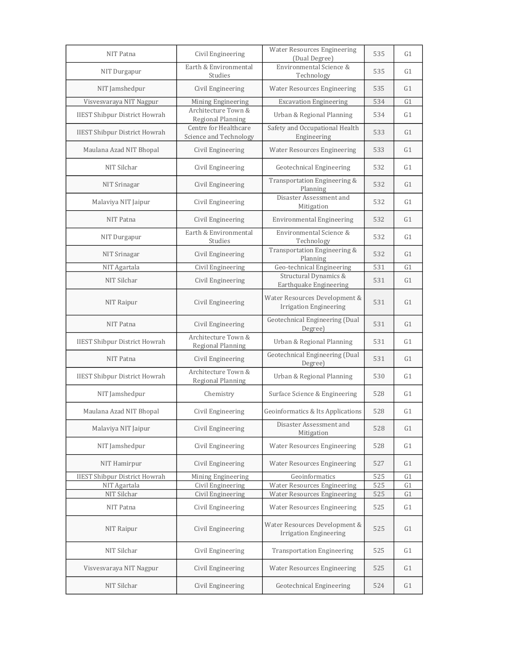| NIT Patna                            | Civil Engineering                               | <b>Water Resources Engineering</b><br>(Dual Degree)            | 535 | G1             |
|--------------------------------------|-------------------------------------------------|----------------------------------------------------------------|-----|----------------|
| NIT Durgapur                         | Earth & Environmental<br>Studies                | Environmental Science &<br>Technology                          | 535 | G1             |
| NIT Jamshedpur                       | Civil Engineering                               | <b>Water Resources Engineering</b>                             | 535 | G1             |
| Visvesvaraya NIT Nagpur              | Mining Engineering                              | <b>Excavation Engineering</b>                                  | 534 | G1             |
| <b>IIEST Shibpur District Howrah</b> | Architecture Town &<br>Regional Planning        | Urban & Regional Planning                                      | 534 | G1             |
| <b>IIEST Shibpur District Howrah</b> | Centre for Healthcare<br>Science and Technology | Safety and Occupational Health<br>Engineering                  | 533 | G1             |
| Maulana Azad NIT Bhopal              | Civil Engineering                               | <b>Water Resources Engineering</b>                             | 533 | G1             |
| NIT Silchar                          | Civil Engineering                               | Geotechnical Engineering                                       | 532 | G1             |
| NIT Srinagar                         | Civil Engineering                               | Transportation Engineering &<br>Planning                       | 532 | G1             |
| Malaviya NIT Jaipur                  | Civil Engineering                               | Disaster Assessment and<br>Mitigation                          | 532 | G1             |
| NIT Patna                            | Civil Engineering                               | <b>Environmental Engineering</b>                               | 532 | G1             |
| NIT Durgapur                         | Earth & Environmental<br>Studies                | Environmental Science &<br>Technology                          | 532 | G1             |
| NIT Srinagar                         | Civil Engineering                               | Transportation Engineering &<br>Planning                       | 532 | G1             |
| NIT Agartala                         | Civil Engineering                               | Geo-technical Engineering                                      | 531 | G1             |
| NIT Silchar                          | Civil Engineering                               | Structural Dynamics &<br>Earthquake Engineering                | 531 | G1             |
| NIT Raipur                           | Civil Engineering                               | Water Resources Development &<br><b>Irrigation Engineering</b> | 531 | G1             |
| NIT Patna                            | Civil Engineering                               | Geotechnical Engineering (Dual<br>Degree)                      | 531 | G1             |
| <b>IIEST Shibpur District Howrah</b> | Architecture Town &<br>Regional Planning        | Urban & Regional Planning                                      | 531 | G1             |
| NIT Patna                            | Civil Engineering                               | Geotechnical Engineering (Dual<br>Degree)                      | 531 | G1             |
| <b>IIEST Shibpur District Howrah</b> | Architecture Town &<br>Regional Planning        | Urban & Regional Planning                                      | 530 | G1             |
| NIT Jamshedpur                       | Chemistry                                       | Surface Science & Engineering                                  | 528 | G1             |
| Maulana Azad NIT Bhopal              | Civil Engineering                               | Geoinformatics & Its Applications                              | 528 | G <sub>1</sub> |
| Malaviya NIT Jaipur                  | Civil Engineering                               | Disaster Assessment and<br>Mitigation                          | 528 | G1             |
| NIT Jamshedpur                       | Civil Engineering                               | <b>Water Resources Engineering</b>                             | 528 | G1             |
| NIT Hamirpur                         | Civil Engineering                               | <b>Water Resources Engineering</b>                             | 527 | G1             |
| <b>IIEST Shibpur District Howrah</b> | Mining Engineering                              | Geoinformatics                                                 | 525 | G <sub>1</sub> |
| NIT Agartala                         | Civil Engineering                               | <b>Water Resources Engineering</b>                             | 525 | G1             |
| NIT Silchar                          | Civil Engineering                               | <b>Water Resources Engineering</b>                             | 525 | G1             |
| NIT Patna                            | Civil Engineering                               | Water Resources Engineering                                    | 525 | G1             |
| NIT Raipur                           | Civil Engineering                               | Water Resources Development &<br><b>Irrigation Engineering</b> | 525 | G1             |
| NIT Silchar                          | Civil Engineering                               | <b>Transportation Engineering</b>                              | 525 | G <sub>1</sub> |
| Visvesvaraya NIT Nagpur              | Civil Engineering                               | <b>Water Resources Engineering</b>                             | 525 | G1             |
| NIT Silchar                          | Civil Engineering                               | Geotechnical Engineering                                       | 524 | G <sub>1</sub> |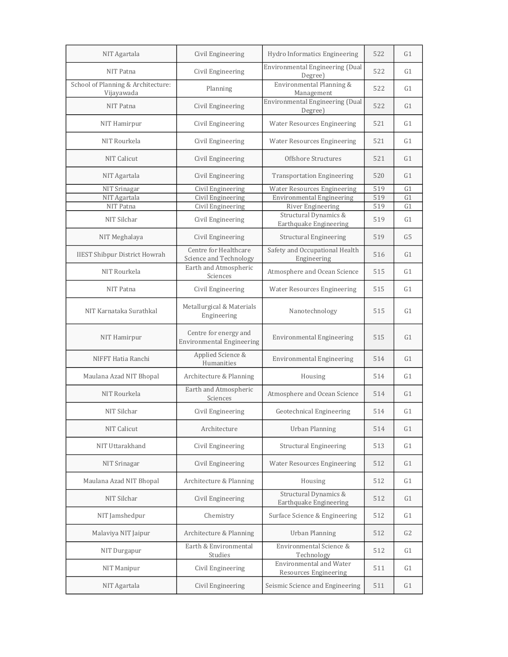| NIT Agartala                                     | Civil Engineering                                         | Hydro Informatics Engineering                           | 522 | G1             |
|--------------------------------------------------|-----------------------------------------------------------|---------------------------------------------------------|-----|----------------|
| NIT Patna                                        | Civil Engineering                                         | <b>Environmental Engineering (Dual</b><br>Degree)       | 522 | G1             |
| School of Planning & Architecture:<br>Vijayawada | Planning                                                  | Environmental Planning &<br>Management                  | 522 | G1             |
| NIT Patna                                        | Civil Engineering                                         | Environmental Engineering (Dual<br>Degree)              | 522 | G1             |
| NIT Hamirpur                                     | Civil Engineering                                         | <b>Water Resources Engineering</b>                      | 521 | G1             |
| NIT Rourkela                                     | Civil Engineering                                         | <b>Water Resources Engineering</b>                      | 521 | G1             |
| NIT Calicut                                      | Civil Engineering                                         | Offshore Structures                                     | 521 | G <sub>1</sub> |
| NIT Agartala                                     | Civil Engineering                                         | <b>Transportation Engineering</b>                       | 520 | G1             |
| NIT Srinagar                                     | Civil Engineering                                         | <b>Water Resources Engineering</b>                      | 519 | G1             |
| NIT Agartala                                     | Civil Engineering                                         | <b>Environmental Engineering</b>                        | 519 | G1             |
|                                                  |                                                           |                                                         | 519 | G1             |
| NIT Patna                                        | Civil Engineering                                         | <b>River Engineering</b>                                |     |                |
| NIT Silchar                                      | Civil Engineering                                         | Structural Dynamics &<br>Earthquake Engineering         | 519 | G1             |
| NIT Meghalaya                                    | Civil Engineering                                         | <b>Structural Engineering</b>                           | 519 | G5             |
| <b>IIEST Shibpur District Howrah</b>             | Centre for Healthcare<br>Science and Technology           | Safety and Occupational Health<br>Engineering           | 516 | G1             |
| NIT Rourkela                                     | Earth and Atmospheric<br>Sciences                         | Atmosphere and Ocean Science                            | 515 | G1             |
| NIT Patna                                        | Civil Engineering                                         | <b>Water Resources Engineering</b>                      | 515 | G1             |
| NIT Karnataka Surathkal                          | Metallurgical & Materials<br>Engineering                  | Nanotechnology                                          | 515 | G1             |
| NIT Hamirpur                                     | Centre for energy and<br><b>Environmental Engineering</b> | <b>Environmental Engineering</b>                        | 515 | G1             |
| NIFFT Hatia Ranchi                               | Applied Science &<br>Humanities                           | <b>Environmental Engineering</b>                        | 514 | G1             |
| Maulana Azad NIT Bhopal                          | Architecture & Planning                                   | Housing                                                 | 514 | G1             |
| NIT Rourkela                                     | Earth and Atmospheric<br>Sciences                         | Atmosphere and Ocean Science                            | 514 | G1             |
| NIT Silchar                                      | Civil Engineering                                         | Geotechnical Engineering                                | 514 | G1             |
| NIT Calicut                                      | Architecture                                              | <b>Urban Planning</b>                                   | 514 | G1             |
| NIT Uttarakhand                                  | Civil Engineering                                         | <b>Structural Engineering</b>                           | 513 | G <sub>1</sub> |
| NIT Srinagar                                     | Civil Engineering                                         | <b>Water Resources Engineering</b>                      | 512 | G1             |
| Maulana Azad NIT Bhopal                          | Architecture & Planning                                   | Housing                                                 | 512 | G1             |
| NIT Silchar                                      | Civil Engineering                                         | Structural Dynamics &<br>Earthquake Engineering         | 512 | G <sub>1</sub> |
| NIT Jamshedpur                                   | Chemistry                                                 | Surface Science & Engineering                           | 512 | G1             |
| Malaviya NIT Jaipur                              | Architecture & Planning                                   | <b>Urban Planning</b>                                   | 512 | G <sub>2</sub> |
| NIT Durgapur                                     | Earth & Environmental<br>Studies                          | Environmental Science &<br>Technology                   | 512 | G1             |
| NIT Manipur                                      | Civil Engineering                                         | <b>Environmental and Water</b><br>Resources Engineering | 511 | G1             |
| NIT Agartala                                     | Civil Engineering                                         | Seismic Science and Engineering                         | 511 | G1             |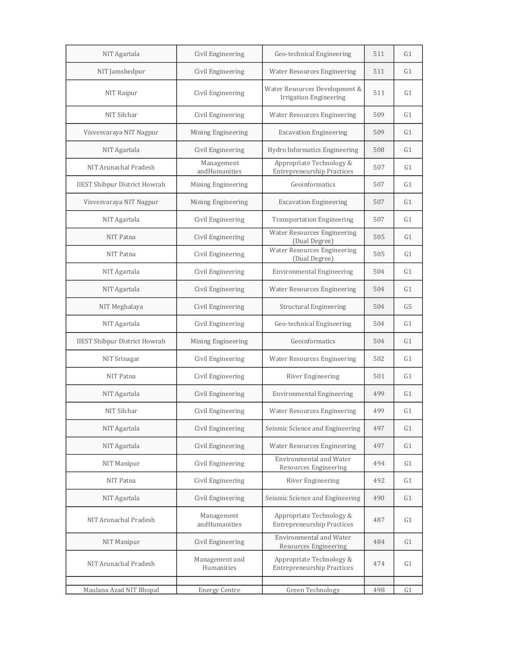| NIT Agartala                         | Civil Engineering            | Geo-technical Engineering                                      | 511 | G1             |
|--------------------------------------|------------------------------|----------------------------------------------------------------|-----|----------------|
| NIT Jamshedpur                       | Civil Engineering            | <b>Water Resources Engineering</b>                             | 511 | G1             |
| NIT Raipur                           | Civil Engineering            | Water Resources Development &<br><b>Irrigation Engineering</b> | 511 | G1             |
| NIT Silchar                          | Civil Engineering            | <b>Water Resources Engineering</b>                             | 509 | G <sub>1</sub> |
| Visvesvaraya NIT Nagpur              | Mining Engineering           | <b>Excavation Engineering</b>                                  | 509 | G1             |
| NIT Agartala                         | Civil Engineering            | Hydro Informatics Engineering                                  | 508 | G1             |
| NIT Arunachal Pradesh                | Management<br>andHumanities  | Appropriate Technology &<br><b>Entrepreneurship Practices</b>  | 507 | G1             |
| <b>IIEST Shibpur District Howrah</b> | Mining Engineering           | Geoinformatics                                                 | 507 | G1             |
| Visvesvaraya NIT Nagpur              | Mining Engineering           | <b>Excavation Engineering</b>                                  | 507 | G1             |
| NIT Agartala                         | Civil Engineering            | <b>Transportation Engineering</b>                              | 507 | G1             |
| NIT Patna                            | Civil Engineering            | <b>Water Resources Engineering</b><br>(Dual Degree)            | 505 | G1             |
| NIT Patna                            | Civil Engineering            | <b>Water Resources Engineering</b><br>(Dual Degree)            | 505 | G1             |
| NIT Agartala                         | Civil Engineering            | <b>Environmental Engineering</b>                               | 504 | G1             |
| NIT Agartala                         | Civil Engineering            | <b>Water Resources Engineering</b>                             | 504 | G1             |
| NIT Meghalaya                        | Civil Engineering            | <b>Structural Engineering</b>                                  | 504 | G <sub>5</sub> |
| NIT Agartala                         | Civil Engineering            | Geo-technical Engineering                                      | 504 | G1             |
| <b>IIEST Shibpur District Howrah</b> | Mining Engineering           | Geoinformatics                                                 | 504 | G1             |
| NIT Srinagar                         | Civil Engineering            | <b>Water Resources Engineering</b>                             | 502 | G1             |
| NIT Patna                            | Civil Engineering            | <b>River Engineering</b>                                       | 501 | G1             |
| NIT Agartala                         | Civil Engineering            | <b>Environmental Engineering</b>                               | 499 | G1             |
| NIT Silchar                          | Civil Engineering            | <b>Water Resources Engineering</b>                             | 499 | G1             |
| NIT Agartala                         | Civil Engineering            | Seismic Science and Engineering                                | 497 | G1             |
| NIT Agartala                         | Civil Engineering            | <b>Water Resources Engineering</b>                             | 497 | G1             |
| NIT Manipur                          | Civil Engineering            | Environmental and Water<br>Resources Engineering               | 494 | G1             |
| NIT Patna                            | Civil Engineering            | <b>River Engineering</b>                                       | 492 | G1             |
| NIT Agartala                         | Civil Engineering            | Seismic Science and Engineering                                | 490 | G1             |
| NIT Arunachal Pradesh                | Management<br>andHumanities  | Appropriate Technology &<br><b>Entrepreneurship Practices</b>  | 487 | G1             |
| NIT Manipur                          | Civil Engineering            | <b>Environmental and Water</b><br>Resources Engineering        | 484 | G <sub>1</sub> |
| NIT Arunachal Pradesh                | Management and<br>Humanities | Appropriate Technology &<br><b>Entrepreneurship Practices</b>  | 474 | G1             |
| Maulana Azad NIT Bhopal              | <b>Energy Centre</b>         | Green Technology                                               | 498 | G1             |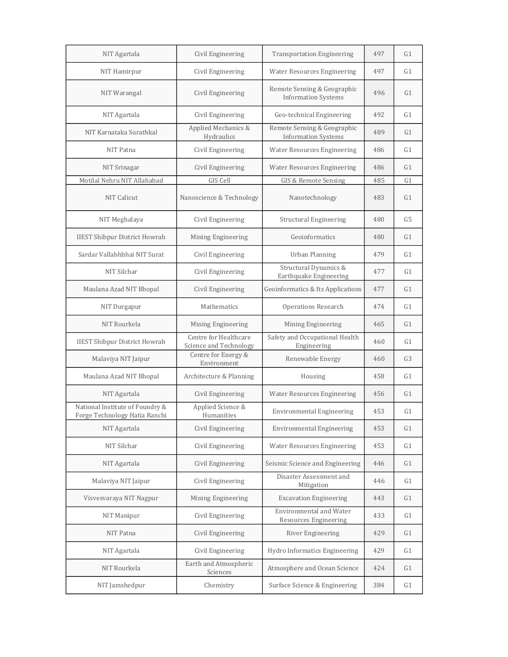| NIT Agartala                                                     | Civil Engineering                               | <b>Transportation Engineering</b>                         | 497 | G1             |
|------------------------------------------------------------------|-------------------------------------------------|-----------------------------------------------------------|-----|----------------|
| NIT Hamirpur                                                     | Civil Engineering                               | <b>Water Resources Engineering</b>                        | 497 | G1             |
| NIT Warangal                                                     | Civil Engineering                               | Remote Sensing & Geographic<br><b>Information Systems</b> | 496 | G1             |
| NIT Agartala                                                     | Civil Engineering                               | Geo-technical Engineering                                 | 492 | G1             |
| NIT Karnataka Surathkal                                          | Applied Mechanics &<br>Hydraulics               | Remote Sensing & Geographic<br><b>Information Systems</b> | 489 | G1             |
| NIT Patna                                                        | Civil Engineering                               | <b>Water Resources Engineering</b>                        | 486 | G1             |
| NIT Srinagar                                                     | Civil Engineering                               | <b>Water Resources Engineering</b>                        | 486 | G1             |
| Motilal Nehru NIT Allahabad                                      | GIS Cell                                        | <b>GIS &amp; Remote Sensing</b>                           | 485 | G <sub>1</sub> |
| NIT Calicut                                                      | Nanoscience & Technology                        | Nanotechnology                                            | 483 | G <sub>1</sub> |
| NIT Meghalaya                                                    | Civil Engineering                               | <b>Structural Engineering</b>                             | 480 | G5             |
| <b>IIEST Shibpur District Howrah</b>                             | Mining Engineering                              | Geoinformatics                                            | 480 | G1             |
| Sardar Vallabhbhai NIT Surat                                     | Civil Engineering                               | <b>Urban Planning</b>                                     | 479 | G <sub>1</sub> |
| NIT Silchar                                                      | Civil Engineering                               | Structural Dynamics &<br>Earthquake Engineering           | 477 | G1             |
| Maulana Azad NIT Bhopal                                          | Civil Engineering                               | Geoinformatics & Its Applications                         | 477 | G1             |
| NIT Durgapur                                                     | Mathematics                                     | <b>Operations Research</b>                                | 474 | G1             |
| NIT Rourkela                                                     | Mining Engineering                              | Mining Engineering                                        | 465 | G1             |
| <b>IIEST Shibpur District Howrah</b>                             | Centre for Healthcare<br>Science and Technology | Safety and Occupational Health<br>Engineering             | 460 | G1             |
| Malaviya NIT Jaipur                                              | Centre for Energy &<br>Environment              | Renewable Energy                                          | 460 | G <sub>3</sub> |
| Maulana Azad NIT Bhopal                                          | Architecture & Planning                         | Housing                                                   | 458 | G1             |
| NIT Agartala                                                     | Civil Engineering                               | <b>Water Resources Engineering</b>                        | 456 | G1             |
| National Institute of Foundry &<br>Forge Technology Hatia Ranchi | Applied Science &<br>Humanities                 | <b>Environmental Engineering</b>                          | 453 | G <sub>1</sub> |
| NIT Agartala                                                     | Civil Engineering                               | <b>Environmental Engineering</b>                          | 453 | G1             |
| NIT Silchar                                                      | Civil Engineering                               | <b>Water Resources Engineering</b>                        | 453 | G1             |
| NIT Agartala                                                     | Civil Engineering                               | Seismic Science and Engineering                           | 446 | G1             |
| Malaviya NIT Jaipur                                              | Civil Engineering                               | Disaster Assessment and<br>Mitigation                     | 446 | G1             |
| Visvesvaraya NIT Nagpur                                          | Mining Engineering                              | <b>Excavation Engineering</b>                             | 443 | G1             |
| NIT Manipur                                                      | Civil Engineering                               | <b>Environmental and Water</b><br>Resources Engineering   | 433 | G1             |
| NIT Patna                                                        | Civil Engineering                               | <b>River Engineering</b>                                  | 429 | G <sub>1</sub> |
| NIT Agartala                                                     | Civil Engineering                               | Hydro Informatics Engineering                             | 429 | G1             |
| NIT Rourkela                                                     | Earth and Atmospheric<br>Sciences               | Atmosphere and Ocean Science                              | 424 | G1             |
| NIT Jamshedpur                                                   | Chemistry                                       | Surface Science & Engineering                             | 384 | G1             |